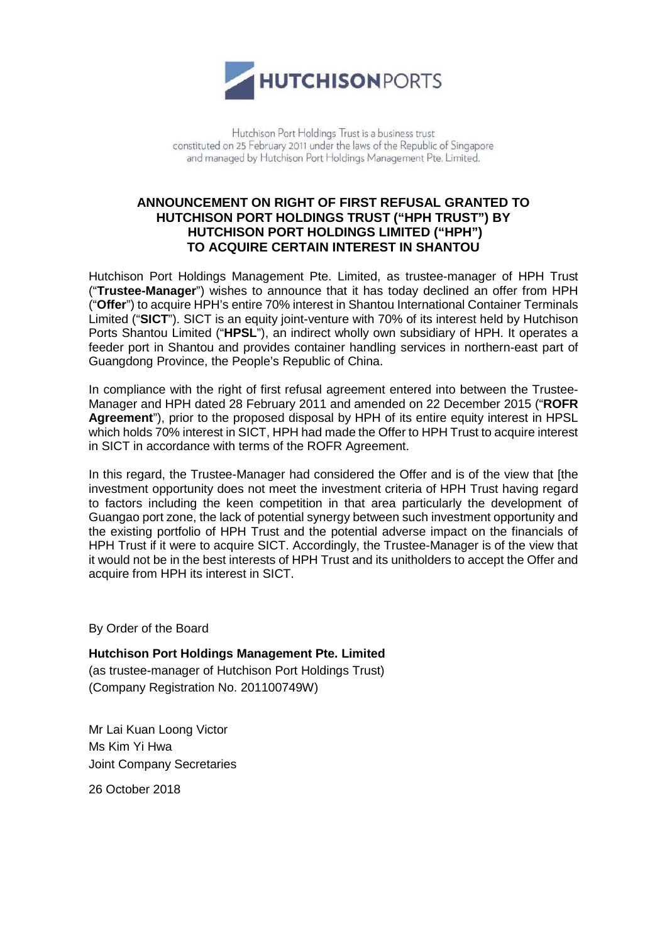

Hutchison Port Holdings Trust is a business trust constituted on 25 February 2011 under the laws of the Republic of Singapore and managed by Hutchison Port Holdings Management Pte. Limited.

## **ANNOUNCEMENT ON RIGHT OF FIRST REFUSAL GRANTED TO HUTCHISON PORT HOLDINGS TRUST ("HPH TRUST") BY HUTCHISON PORT HOLDINGS LIMITED ("HPH") TO ACQUIRE CERTAIN INTEREST IN SHANTOU**

Hutchison Port Holdings Management Pte. Limited, as trustee-manager of HPH Trust ("**Trustee-Manager**") wishes to announce that it has today declined an offer from HPH ("**Offer**") to acquire HPH's entire 70% interest in Shantou International Container Terminals Limited ("**SICT**"). SICT is an equity joint-venture with 70% of its interest held by Hutchison Ports Shantou Limited ("**HPSL**"), an indirect wholly own subsidiary of HPH. It operates a feeder port in Shantou and provides container handling services in northern-east part of Guangdong Province, the People's Republic of China.

In compliance with the right of first refusal agreement entered into between the Trustee-Manager and HPH dated 28 February 2011 and amended on 22 December 2015 ("**ROFR Agreement**"), prior to the proposed disposal by HPH of its entire equity interest in HPSL which holds 70% interest in SICT, HPH had made the Offer to HPH Trust to acquire interest in SICT in accordance with terms of the ROFR Agreement.

In this regard, the Trustee-Manager had considered the Offer and is of the view that [the investment opportunity does not meet the investment criteria of HPH Trust having regard to factors including the keen competition in that area particularly the development of Guangao port zone, the lack of potential synergy between such investment opportunity and the existing portfolio of HPH Trust and the potential adverse impact on the financials of HPH Trust if it were to acquire SICT. Accordingly, the Trustee-Manager is of the view that it would not be in the best interests of HPH Trust and its unitholders to accept the Offer and acquire from HPH its interest in SICT.

By Order of the Board

**Hutchison Port Holdings Management Pte. Limited** 

(as trustee-manager of Hutchison Port Holdings Trust) (Company Registration No. 201100749W)

Mr Lai Kuan Loong Victor Ms Kim Yi Hwa Joint Company Secretaries

26 October 2018